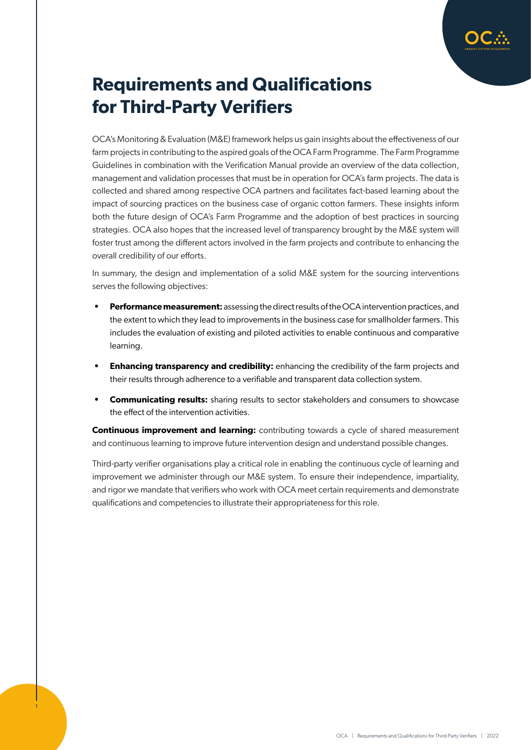

# **Requirements and Qualifications for Third-Party Verifiers**

OCA's Monitoring & Evaluation (M&E) framework helps us gain insights about the effectiveness of our farm projects in contributing to the aspired goals of the OCA Farm Programme. The Farm Programme Guidelines in combination with the Verification Manual provide an overview of the data collection, management and validation processes that must be in operation for OCA's farm projects. The data is collected and shared among respective OCA partners and facilitates fact-based learning about the impact of sourcing practices on the business case of organic cotton farmers. These insights inform both the future design of OCA's Farm Programme and the adoption of best practices in sourcing strategies. OCA also hopes that the increased level of transparency brought by the M&E system will foster trust among the different actors involved in the farm projects and contribute to enhancing the overall credibility of our efforts.

In summary, the design and implementation of a solid M&E system for the sourcing interventions serves the following objectives:

- **• Performance measurement:** assessing the direct results of the OCA intervention practices, and the extent to which they lead to improvements in the business case for smallholder farmers. This includes the evaluation of existing and piloted activities to enable continuous and comparative learning.
- **Enhancing transparency and credibility:** enhancing the credibility of the farm projects and their results through adherence to a verifiable and transparent data collection system.
- **• Communicating results:** sharing results to sector stakeholders and consumers to showcase the effect of the intervention activities.

**Continuous improvement and learning:** contributing towards a cycle of shared measurement and continuous learning to improve future intervention design and understand possible changes.

Third-party verifier organisations play a critical role in enabling the continuous cycle of learning and improvement we administer through our M&E system. To ensure their independence, impartiality, and rigor we mandate that verifiers who work with OCA meet certain requirements and demonstrate qualifications and competencies to illustrate their appropriateness for this role.

1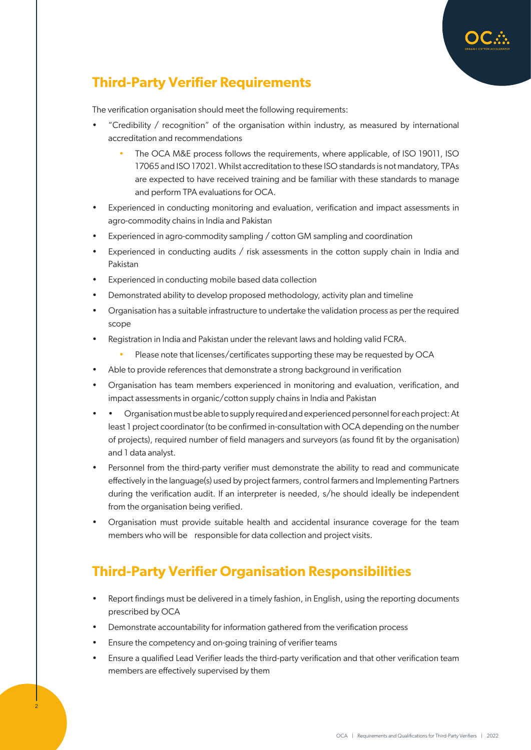

The verification organisation should meet the following requirements:

- "Credibility / recognition" of the organisation within industry, as measured by international accreditation and recommendations
	- The OCA M&E process follows the requirements, where applicable, of ISO 19011, ISO 17065 and ISO 17021. Whilst accreditation to these ISO standards is not mandatory, TPAs are expected to have received training and be familiar with these standards to manage and perform TPA evaluations for OCA.
- Experienced in conducting monitoring and evaluation, verification and impact assessments in agro-commodity chains in India and Pakistan
- Experienced in agro-commodity sampling / cotton GM sampling and coordination
- Experienced in conducting audits / risk assessments in the cotton supply chain in India and Pakistan
- Experienced in conducting mobile based data collection
- Demonstrated ability to develop proposed methodology, activity plan and timeline
- Organisation has a suitable infrastructure to undertake the validation process as per the required scope
- Registration in India and Pakistan under the relevant laws and holding valid FCRA.
	- Please note that licenses/certificates supporting these may be requested by OCA
- Able to provide references that demonstrate a strong background in verification
- Organisation has team members experienced in monitoring and evaluation, verification, and impact assessments in organic/cotton supply chains in India and Pakistan
- • Organisation must be able to supply required and experienced personnel for each project: At least 1 project coordinator (to be confirmed in-consultation with OCA depending on the number of projects), required number of field managers and surveyors (as found fit by the organisation) and 1 data analyst.
- Personnel from the third-party verifier must demonstrate the ability to read and communicate effectively in the language(s) used by project farmers, control farmers and Implementing Partners during the verification audit. If an interpreter is needed, s/he should ideally be independent from the organisation being verified.
- Organisation must provide suitable health and accidental insurance coverage for the team members who will be responsible for data collection and project visits.

### **Third-Party Verifier Organisation Responsibilities**

- Report findings must be delivered in a timely fashion, in English, using the reporting documents prescribed by OCA
- Demonstrate accountability for information gathered from the verification process
- Ensure the competency and on-going training of verifier teams
- Ensure a qualified Lead Verifier leads the third-party verification and that other verification team members are effectively supervised by them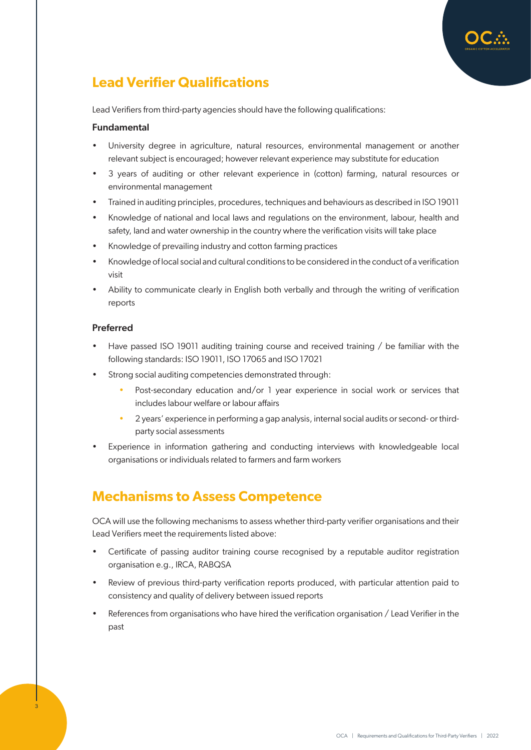# **Lead Verifier Qualifications**

Lead Verifiers from third-party agencies should have the following qualifications:

#### Fundamental

- University degree in agriculture, natural resources, environmental management or another relevant subject is encouraged; however relevant experience may substitute for education
- 3 years of auditing or other relevant experience in (cotton) farming, natural resources or environmental management
- Trained in auditing principles, procedures, techniques and behaviours as described in ISO 19011
- Knowledge of national and local laws and regulations on the environment, labour, health and safety, land and water ownership in the country where the verification visits will take place
- Knowledge of prevailing industry and cotton farming practices
- Knowledge of local social and cultural conditions to be considered in the conduct of a verification visit
- Ability to communicate clearly in English both verbally and through the writing of verification reports

#### Preferred

3

- Have passed ISO 19011 auditing training course and received training / be familiar with the following standards: ISO 19011, ISO 17065 and ISO 17021
- Strong social auditing competencies demonstrated through:
	- Post-secondary education and/or 1 year experience in social work or services that includes labour welfare or labour affairs
	- 2 years' experience in performing a gap analysis, internal social audits or second- or thirdparty social assessments
- Experience in information gathering and conducting interviews with knowledgeable local organisations or individuals related to farmers and farm workers

### **Mechanisms to Assess Competence**

OCA will use the following mechanisms to assess whether third-party verifier organisations and their Lead Verifiers meet the requirements listed above:

- Certificate of passing auditor training course recognised by a reputable auditor registration organisation e.g., IRCA, RABQSA
- Review of previous third-party verification reports produced, with particular attention paid to consistency and quality of delivery between issued reports
- References from organisations who have hired the verification organisation / Lead Verifier in the past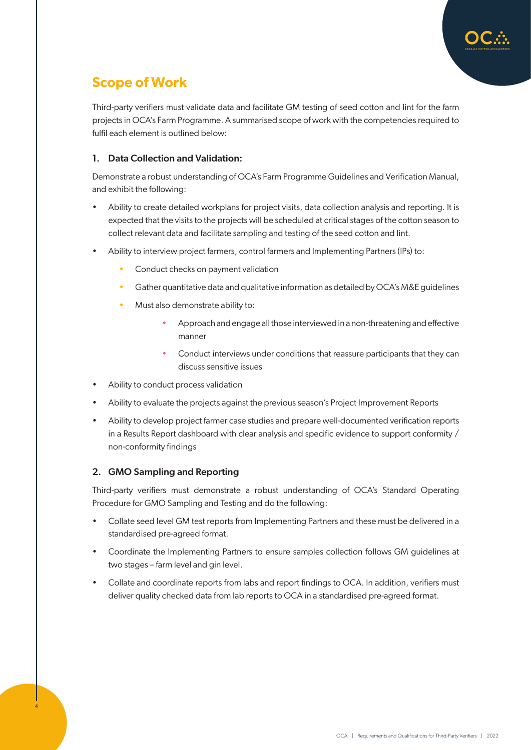

## **Scope of Work**

Third-party verifiers must validate data and facilitate GM testing of seed cotton and lint for the farm projects in OCA's Farm Programme. A summarised scope of work with the competencies required to fulfil each element is outlined below:

### 1. Data Collection and Validation:

Demonstrate a robust understanding of OCA's Farm Programme Guidelines and Verification Manual, and exhibit the following:

- Ability to create detailed workplans for project visits, data collection analysis and reporting. It is expected that the visits to the projects will be scheduled at critical stages of the cotton season to collect relevant data and facilitate sampling and testing of the seed cotton and lint.
- Ability to interview project farmers, control farmers and Implementing Partners (IPs) to:
	- Conduct checks on payment validation
	- Gather quantitative data and qualitative information as detailed by OCA's M&E guidelines
	- Must also demonstrate ability to:
		- Approach and engage all those interviewed in a non-threatening and effective manner
		- Conduct interviews under conditions that reassure participants that they can discuss sensitive issues
- Ability to conduct process validation
- Ability to evaluate the projects against the previous season's Project Improvement Reports
- Ability to develop project farmer case studies and prepare well-documented verification reports in a Results Report dashboard with clear analysis and specific evidence to support conformity / non-conformity findings

### 2. GMO Sampling and Reporting

4

Third-party verifiers must demonstrate a robust understanding of OCA's Standard Operating Procedure for GMO Sampling and Testing and do the following:

- Collate seed level GM test reports from Implementing Partners and these must be delivered in a standardised pre-agreed format.
- Coordinate the Implementing Partners to ensure samples collection follows GM guidelines at two stages – farm level and gin level.
- Collate and coordinate reports from labs and report findings to OCA. In addition, verifiers must deliver quality checked data from lab reports to OCA in a standardised pre-agreed format.